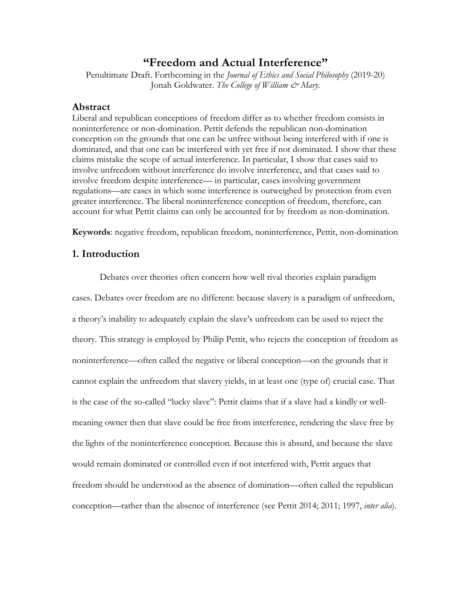# **"Freedom and Actual Interference"**

Penultimate Draft. Forthcoming in the *Journal of Ethics and Social Philosophy* (2019-20) Jonah Goldwater. The College of William & Mary.

# **Abstract**

Liberal and republican conceptions of freedom differ as to whether freedom consists in noninterference or non-domination. Pettit defends the republican non-domination conception on the grounds that one can be unfree without being interfered with if one is dominated, and that one can be interfered with yet free if not dominated. I show that these claims mistake the scope of actual interference. In particular, I show that cases said to involve unfreedom without interference do involve interference, and that cases said to involve freedom despite interference— in particular, cases involving government regulations—are cases in which some interference is outweighed by protection from even greater interference. The liberal noninterference conception of freedom, therefore, can account for what Pettit claims can only be accounted for by freedom as non-domination.

**Keywords**: negative freedom, republican freedom, noninterference, Pettit, non-domination

# **1. Introduction**

Debates over theories often concern how well rival theories explain paradigm cases. Debates over freedom are no different: because slavery is a paradigm of unfreedom, a theory's inability to adequately explain the slave's unfreedom can be used to reject the theory. This strategy is employed by Philip Pettit, who rejects the conception of freedom as noninterference—often called the negative or liberal conception—on the grounds that it cannot explain the unfreedom that slavery yields, in at least one (type of) crucial case. That is the case of the so-called "lucky slave": Pettit claims that if a slave had a kindly or wellmeaning owner then that slave could be free from interference, rendering the slave free by the lights of the noninterference conception. Because this is absurd, and because the slave would remain dominated or controlled even if not interfered with, Pettit argues that freedom should be understood as the absence of domination—often called the republican conception—rather than the absence of interference (see Pettit 2014; 2011; 1997, *inter alia*).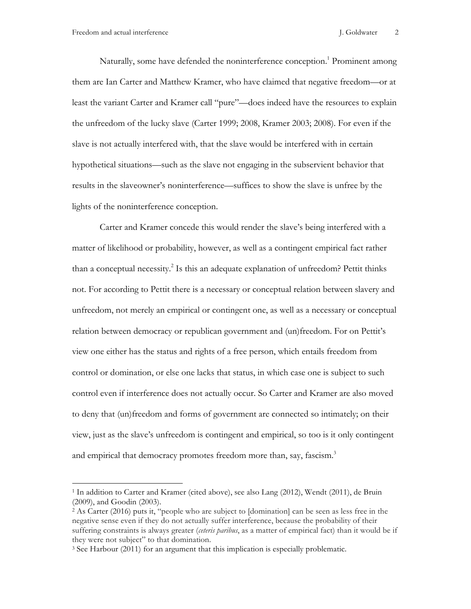Naturally, some have defended the noninterference conception.<sup>1</sup> Prominent among them are Ian Carter and Matthew Kramer, who have claimed that negative freedom—or at least the variant Carter and Kramer call "pure"—does indeed have the resources to explain the unfreedom of the lucky slave (Carter 1999; 2008, Kramer 2003; 2008). For even if the slave is not actually interfered with, that the slave would be interfered with in certain hypothetical situations—such as the slave not engaging in the subservient behavior that results in the slaveowner's noninterference—suffices to show the slave is unfree by the lights of the noninterference conception.

Carter and Kramer concede this would render the slave's being interfered with a matter of likelihood or probability, however, as well as a contingent empirical fact rather than a conceptual necessity.<sup>2</sup> Is this an adequate explanation of unfreedom? Pettit thinks not. For according to Pettit there is a necessary or conceptual relation between slavery and unfreedom, not merely an empirical or contingent one, as well as a necessary or conceptual relation between democracy or republican government and (un)freedom. For on Pettit's view one either has the status and rights of a free person, which entails freedom from control or domination, or else one lacks that status, in which case one is subject to such control even if interference does not actually occur. So Carter and Kramer are also moved to deny that (un)freedom and forms of government are connected so intimately; on their view, just as the slave's unfreedom is contingent and empirical, so too is it only contingent and empirical that democracy promotes freedom more than, say, fascism.<sup>3</sup>

<sup>1</sup> In addition to Carter and Kramer (cited above), see also Lang (2012), Wendt (2011), de Bruin (2009), and Goodin (2003).

<sup>2</sup> As Carter (2016) puts it, "people who are subject to [domination] can be seen as less free in the negative sense even if they do not actually suffer interference, because the probability of their suffering constraints is always greater (*ceteris paribus*, as a matter of empirical fact) than it would be if they were not subject" to that domination.

<sup>3</sup> See Harbour (2011) for an argument that this implication is especially problematic.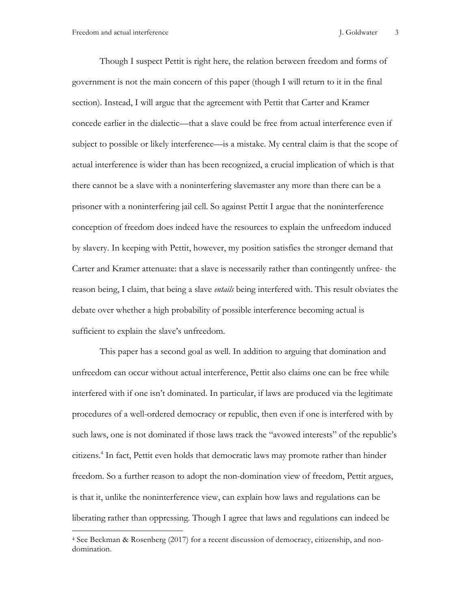Though I suspect Pettit is right here, the relation between freedom and forms of government is not the main concern of this paper (though I will return to it in the final section). Instead, I will argue that the agreement with Pettit that Carter and Kramer concede earlier in the dialectic—that a slave could be free from actual interference even if subject to possible or likely interference—is a mistake. My central claim is that the scope of actual interference is wider than has been recognized, a crucial implication of which is that there cannot be a slave with a noninterfering slavemaster any more than there can be a prisoner with a noninterfering jail cell. So against Pettit I argue that the noninterference conception of freedom does indeed have the resources to explain the unfreedom induced by slavery. In keeping with Pettit, however, my position satisfies the stronger demand that Carter and Kramer attenuate: that a slave is necessarily rather than contingently unfree- the reason being, I claim, that being a slave *entails* being interfered with. This result obviates the debate over whether a high probability of possible interference becoming actual is sufficient to explain the slave's unfreedom.

This paper has a second goal as well. In addition to arguing that domination and unfreedom can occur without actual interference, Pettit also claims one can be free while interfered with if one isn't dominated. In particular, if laws are produced via the legitimate procedures of a well-ordered democracy or republic, then even if one is interfered with by such laws, one is not dominated if those laws track the "avowed interests" of the republic's citizens. <sup>4</sup> In fact, Pettit even holds that democratic laws may promote rather than hinder freedom. So a further reason to adopt the non-domination view of freedom, Pettit argues, is that it, unlike the noninterference view, can explain how laws and regulations can be liberating rather than oppressing. Though I agree that laws and regulations can indeed be

<sup>4</sup> See Beckman & Rosenberg (2017) for a recent discussion of democracy, citizenship, and nondomination.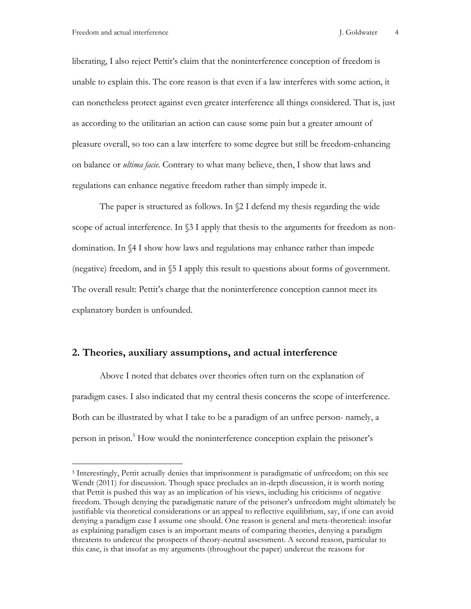liberating, I also reject Pettit's claim that the noninterference conception of freedom is unable to explain this. The core reason is that even if a law interferes with some action, it can nonetheless protect against even greater interference all things considered. That is, just as according to the utilitarian an action can cause some pain but a greater amount of pleasure overall, so too can a law interfere to some degree but still be freedom-enhancing on balance or *ultima facie*. Contrary to what many believe, then, I show that laws and regulations can enhance negative freedom rather than simply impede it.

The paper is structured as follows. In §2 I defend my thesis regarding the wide scope of actual interference. In  $\S$ 3 I apply that thesis to the arguments for freedom as nondomination. In §4 I show how laws and regulations may enhance rather than impede (negative) freedom, and in §5 I apply this result to questions about forms of government. The overall result: Pettit's charge that the noninterference conception cannot meet its explanatory burden is unfounded.

## **2. Theories, auxiliary assumptions, and actual interference**

Above I noted that debates over theories often turn on the explanation of paradigm cases. I also indicated that my central thesis concerns the scope of interference. Both can be illustrated by what I take to be a paradigm of an unfree person- namely, a person in prison.<sup>5</sup> How would the noninterference conception explain the prisoner's

<sup>5</sup> Interestingly, Pettit actually denies that imprisonment is paradigmatic of unfreedom; on this see Wendt (2011) for discussion. Though space precludes an in-depth discussion, it is worth noting that Pettit is pushed this way as an implication of his views, including his criticisms of negative freedom. Though denying the paradigmatic nature of the prisoner's unfreedom might ultimately be justifiable via theoretical considerations or an appeal to reflective equilibrium, say, if one can avoid denying a paradigm case I assume one should. One reason is general and meta-theoretical: insofar as explaining paradigm cases is an important means of comparing theories, denying a paradigm threatens to undercut the prospects of theory-neutral assessment. A second reason, particular to this case, is that insofar as my arguments (throughout the paper) undercut the reasons for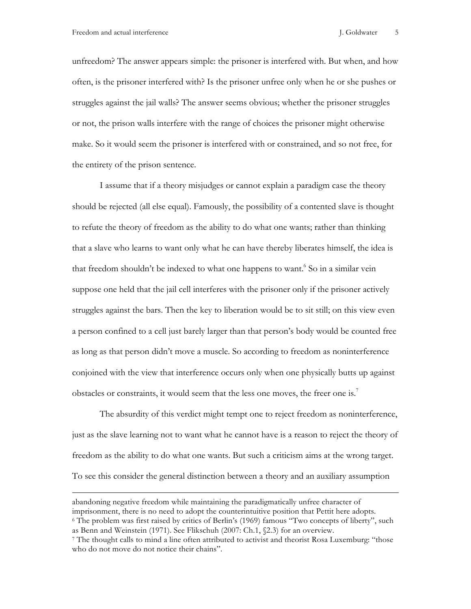unfreedom? The answer appears simple: the prisoner is interfered with. But when, and how often, is the prisoner interfered with? Is the prisoner unfree only when he or she pushes or struggles against the jail walls? The answer seems obvious; whether the prisoner struggles or not, the prison walls interfere with the range of choices the prisoner might otherwise make. So it would seem the prisoner is interfered with or constrained, and so not free, for the entirety of the prison sentence.

I assume that if a theory misjudges or cannot explain a paradigm case the theory should be rejected (all else equal). Famously, the possibility of a contented slave is thought to refute the theory of freedom as the ability to do what one wants; rather than thinking that a slave who learns to want only what he can have thereby liberates himself, the idea is that freedom shouldn't be indexed to what one happens to want.<sup>6</sup> So in a similar vein suppose one held that the jail cell interferes with the prisoner only if the prisoner actively struggles against the bars. Then the key to liberation would be to sit still; on this view even a person confined to a cell just barely larger than that person's body would be counted free as long as that person didn't move a muscle. So according to freedom as noninterference conjoined with the view that interference occurs only when one physically butts up against obstacles or constraints, it would seem that the less one moves, the freer one is.<sup>7</sup>

The absurdity of this verdict might tempt one to reject freedom as noninterference, just as the slave learning not to want what he cannot have is a reason to reject the theory of freedom as the ability to do what one wants. But such a criticism aims at the wrong target. To see this consider the general distinction between a theory and an auxiliary assumption

abandoning negative freedom while maintaining the paradigmatically unfree character of imprisonment, there is no need to adopt the counterintuitive position that Pettit here adopts.

<sup>6</sup> The problem was first raised by critics of Berlin's (1969) famous "Two concepts of liberty", such as Benn and Weinstein (1971). See Flikschuh (2007: Ch.1, §2.3) for an overview.

<sup>7</sup> The thought calls to mind a line often attributed to activist and theorist Rosa Luxemburg: "those who do not move do not notice their chains".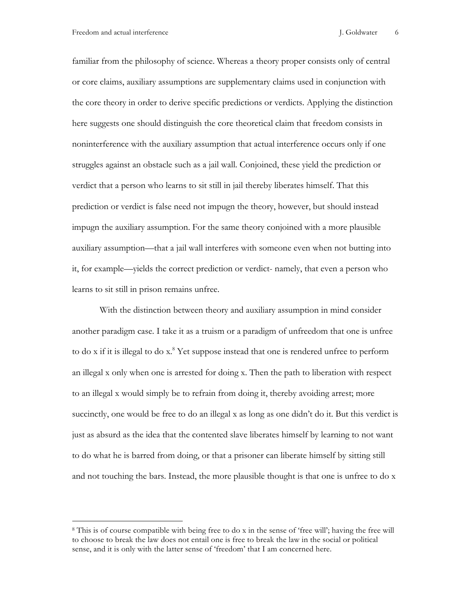familiar from the philosophy of science. Whereas a theory proper consists only of central or core claims, auxiliary assumptions are supplementary claims used in conjunction with the core theory in order to derive specific predictions or verdicts. Applying the distinction here suggests one should distinguish the core theoretical claim that freedom consists in noninterference with the auxiliary assumption that actual interference occurs only if one struggles against an obstacle such as a jail wall. Conjoined, these yield the prediction or verdict that a person who learns to sit still in jail thereby liberates himself. That this prediction or verdict is false need not impugn the theory, however, but should instead impugn the auxiliary assumption. For the same theory conjoined with a more plausible auxiliary assumption—that a jail wall interferes with someone even when not butting into it, for example—yields the correct prediction or verdict- namely, that even a person who learns to sit still in prison remains unfree.

With the distinction between theory and auxiliary assumption in mind consider another paradigm case. I take it as a truism or a paradigm of unfreedom that one is unfree to do x if it is illegal to do x. <sup>8</sup> Yet suppose instead that one is rendered unfree to perform an illegal x only when one is arrested for doing x. Then the path to liberation with respect to an illegal x would simply be to refrain from doing it, thereby avoiding arrest; more succinctly, one would be free to do an illegal x as long as one didn't do it. But this verdict is just as absurd as the idea that the contented slave liberates himself by learning to not want to do what he is barred from doing, or that a prisoner can liberate himself by sitting still and not touching the bars. Instead, the more plausible thought is that one is unfree to do x

<sup>8</sup> This is of course compatible with being free to do x in the sense of 'free will'; having the free will to choose to break the law does not entail one is free to break the law in the social or political sense, and it is only with the latter sense of 'freedom' that I am concerned here.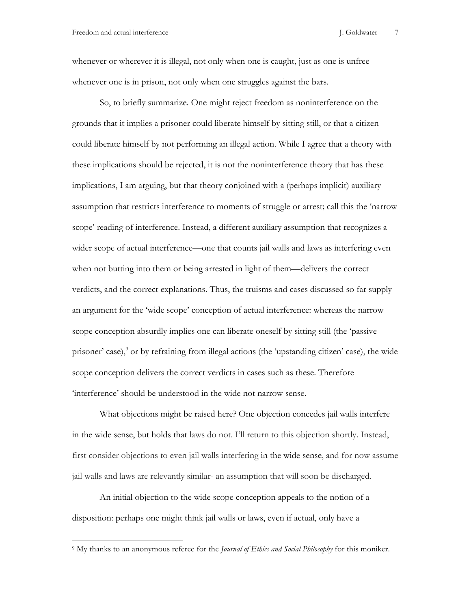whenever or wherever it is illegal, not only when one is caught, just as one is unfree whenever one is in prison, not only when one struggles against the bars.

So, to briefly summarize. One might reject freedom as noninterference on the grounds that it implies a prisoner could liberate himself by sitting still, or that a citizen could liberate himself by not performing an illegal action. While I agree that a theory with these implications should be rejected, it is not the noninterference theory that has these implications, I am arguing, but that theory conjoined with a (perhaps implicit) auxiliary assumption that restricts interference to moments of struggle or arrest; call this the 'narrow scope' reading of interference. Instead, a different auxiliary assumption that recognizes a wider scope of actual interference—one that counts jail walls and laws as interfering even when not butting into them or being arrested in light of them—delivers the correct verdicts, and the correct explanations. Thus, the truisms and cases discussed so far supply an argument for the 'wide scope' conception of actual interference: whereas the narrow scope conception absurdly implies one can liberate oneself by sitting still (the 'passive prisoner' case), <sup>9</sup> or by refraining from illegal actions (the 'upstanding citizen' case), the wide scope conception delivers the correct verdicts in cases such as these. Therefore 'interference' should be understood in the wide not narrow sense.

What objections might be raised here? One objection concedes jail walls interfere in the wide sense, but holds that laws do not. I'll return to this objection shortly. Instead, first consider objections to even jail walls interfering in the wide sense, and for now assume jail walls and laws are relevantly similar- an assumption that will soon be discharged.

An initial objection to the wide scope conception appeals to the notion of a disposition: perhaps one might think jail walls or laws, even if actual, only have a

<sup>9</sup> My thanks to an anonymous referee for the *Journal of Ethics and Social Philosophy* for this moniker.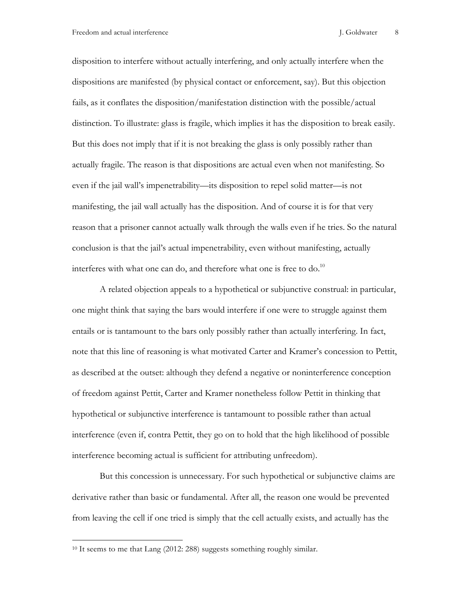disposition to interfere without actually interfering, and only actually interfere when the dispositions are manifested (by physical contact or enforcement, say). But this objection fails, as it conflates the disposition/manifestation distinction with the possible/actual distinction. To illustrate: glass is fragile, which implies it has the disposition to break easily. But this does not imply that if it is not breaking the glass is only possibly rather than actually fragile. The reason is that dispositions are actual even when not manifesting. So even if the jail wall's impenetrability—its disposition to repel solid matter—is not manifesting, the jail wall actually has the disposition. And of course it is for that very reason that a prisoner cannot actually walk through the walls even if he tries. So the natural conclusion is that the jail's actual impenetrability, even without manifesting, actually interferes with what one can do, and therefore what one is free to do.<sup>10</sup>

A related objection appeals to a hypothetical or subjunctive construal: in particular, one might think that saying the bars would interfere if one were to struggle against them entails or is tantamount to the bars only possibly rather than actually interfering. In fact, note that this line of reasoning is what motivated Carter and Kramer's concession to Pettit, as described at the outset: although they defend a negative or noninterference conception of freedom against Pettit, Carter and Kramer nonetheless follow Pettit in thinking that hypothetical or subjunctive interference is tantamount to possible rather than actual interference (even if, contra Pettit, they go on to hold that the high likelihood of possible interference becoming actual is sufficient for attributing unfreedom).

But this concession is unnecessary. For such hypothetical or subjunctive claims are derivative rather than basic or fundamental. After all, the reason one would be prevented from leaving the cell if one tried is simply that the cell actually exists, and actually has the

1

<sup>&</sup>lt;sup>10</sup> It seems to me that Lang (2012: 288) suggests something roughly similar.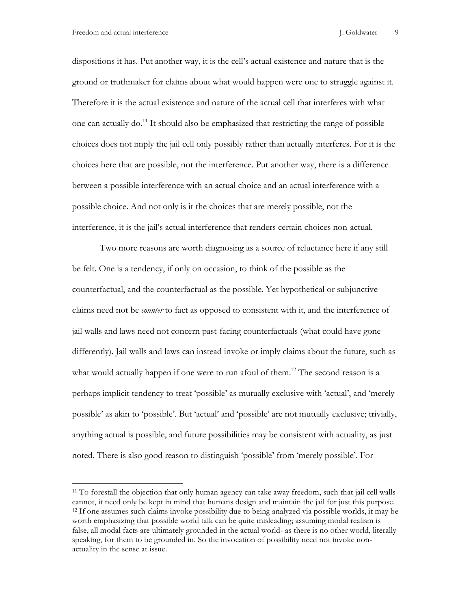dispositions it has. Put another way, it is the cell's actual existence and nature that is the ground or truthmaker for claims about what would happen were one to struggle against it. Therefore it is the actual existence and nature of the actual cell that interferes with what one can actually do.<sup>11</sup> It should also be emphasized that restricting the range of possible choices does not imply the jail cell only possibly rather than actually interferes. For it is the choices here that are possible, not the interference. Put another way, there is a difference between a possible interference with an actual choice and an actual interference with a possible choice. And not only is it the choices that are merely possible, not the interference, it is the jail's actual interference that renders certain choices non-actual.

Two more reasons are worth diagnosing as a source of reluctance here if any still be felt. One is a tendency, if only on occasion, to think of the possible as the counterfactual, and the counterfactual as the possible. Yet hypothetical or subjunctive claims need not be *counter* to fact as opposed to consistent with it, and the interference of jail walls and laws need not concern past-facing counterfactuals (what could have gone differently). Jail walls and laws can instead invoke or imply claims about the future, such as what would actually happen if one were to run afoul of them.<sup>12</sup> The second reason is a perhaps implicit tendency to treat 'possible' as mutually exclusive with 'actual', and 'merely possible' as akin to 'possible'. But 'actual' and 'possible' are not mutually exclusive; trivially, anything actual is possible, and future possibilities may be consistent with actuality, as just noted. There is also good reason to distinguish 'possible' from 'merely possible'. For

<sup>11</sup> To forestall the objection that only human agency can take away freedom, such that jail cell walls cannot, it need only be kept in mind that humans design and maintain the jail for just this purpose. 12 If one assumes such claims invoke possibility due to being analyzed via possible worlds, it may be worth emphasizing that possible world talk can be quite misleading; assuming modal realism is false, all modal facts are ultimately grounded in the actual world- as there is no other world, literally speaking, for them to be grounded in. So the invocation of possibility need not invoke nonactuality in the sense at issue.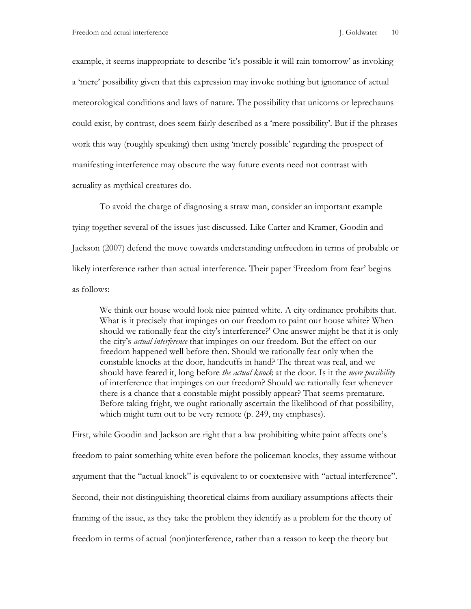example, it seems inappropriate to describe 'it's possible it will rain tomorrow' as invoking a 'mere' possibility given that this expression may invoke nothing but ignorance of actual meteorological conditions and laws of nature. The possibility that unicorns or leprechauns could exist, by contrast, does seem fairly described as a 'mere possibility'. But if the phrases work this way (roughly speaking) then using 'merely possible' regarding the prospect of manifesting interference may obscure the way future events need not contrast with actuality as mythical creatures do.

To avoid the charge of diagnosing a straw man, consider an important example tying together several of the issues just discussed. Like Carter and Kramer, Goodin and Jackson (2007) defend the move towards understanding unfreedom in terms of probable or likely interference rather than actual interference. Their paper 'Freedom from fear' begins as follows:

We think our house would look nice painted white. A city ordinance prohibits that. What is it precisely that impinges on our freedom to paint our house white? When should we rationally fear the city's interference?' One answer might be that it is only the city's *actual interference* that impinges on our freedom. But the effect on our freedom happened well before then. Should we rationally fear only when the constable knocks at the door, handcuffs in hand? The threat was real, and we should have feared it, long before *the actual knock* at the door. Is it the *mere possibility* of interference that impinges on our freedom? Should we rationally fear whenever there is a chance that a constable might possibly appear? That seems premature. Before taking fright, we ought rationally ascertain the likelihood of that possibility, which might turn out to be very remote (p. 249, my emphases).

First, while Goodin and Jackson are right that a law prohibiting white paint affects one's freedom to paint something white even before the policeman knocks, they assume without argument that the "actual knock" is equivalent to or coextensive with "actual interference". Second, their not distinguishing theoretical claims from auxiliary assumptions affects their framing of the issue, as they take the problem they identify as a problem for the theory of freedom in terms of actual (non)interference, rather than a reason to keep the theory but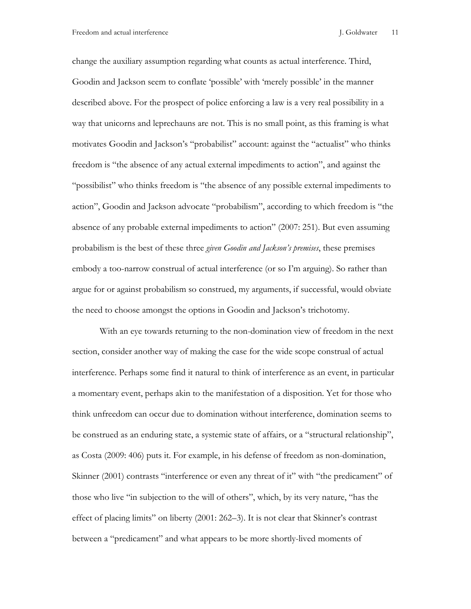change the auxiliary assumption regarding what counts as actual interference. Third, Goodin and Jackson seem to conflate 'possible' with 'merely possible' in the manner described above. For the prospect of police enforcing a law is a very real possibility in a way that unicorns and leprechauns are not. This is no small point, as this framing is what motivates Goodin and Jackson's "probabilist" account: against the "actualist" who thinks freedom is "the absence of any actual external impediments to action", and against the "possibilist" who thinks freedom is "the absence of any possible external impediments to action", Goodin and Jackson advocate "probabilism", according to which freedom is "the absence of any probable external impediments to action" (2007: 251). But even assuming probabilism is the best of these three *given Goodin and Jackson's premises*, these premises embody a too-narrow construal of actual interference (or so I'm arguing). So rather than argue for or against probabilism so construed, my arguments, if successful, would obviate the need to choose amongst the options in Goodin and Jackson's trichotomy.

With an eye towards returning to the non-domination view of freedom in the next section, consider another way of making the case for the wide scope construal of actual interference. Perhaps some find it natural to think of interference as an event, in particular a momentary event, perhaps akin to the manifestation of a disposition. Yet for those who think unfreedom can occur due to domination without interference, domination seems to be construed as an enduring state, a systemic state of affairs, or a "structural relationship", as Costa (2009: 406) puts it. For example, in his defense of freedom as non-domination, Skinner (2001) contrasts "interference or even any threat of it" with "the predicament" of those who live "in subjection to the will of others", which, by its very nature, "has the effect of placing limits" on liberty (2001: 262–3). It is not clear that Skinner's contrast between a "predicament" and what appears to be more shortly-lived moments of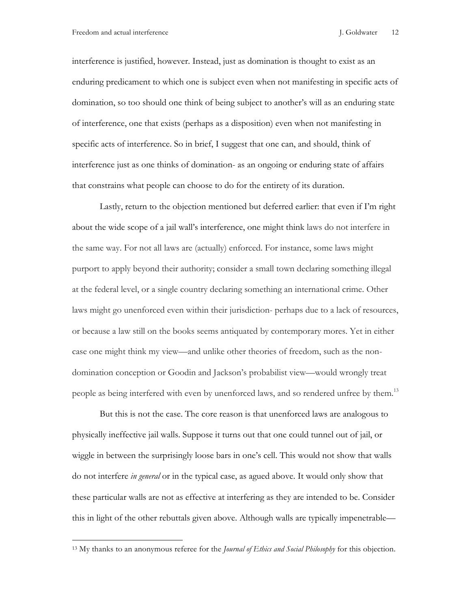interference is justified, however. Instead, just as domination is thought to exist as an enduring predicament to which one is subject even when not manifesting in specific acts of domination, so too should one think of being subject to another's will as an enduring state of interference, one that exists (perhaps as a disposition) even when not manifesting in specific acts of interference. So in brief, I suggest that one can, and should, think of interference just as one thinks of domination- as an ongoing or enduring state of affairs that constrains what people can choose to do for the entirety of its duration.

Lastly, return to the objection mentioned but deferred earlier: that even if I'm right about the wide scope of a jail wall's interference, one might think laws do not interfere in the same way. For not all laws are (actually) enforced. For instance, some laws might purport to apply beyond their authority; consider a small town declaring something illegal at the federal level, or a single country declaring something an international crime. Other laws might go unenforced even within their jurisdiction- perhaps due to a lack of resources, or because a law still on the books seems antiquated by contemporary mores. Yet in either case one might think my view—and unlike other theories of freedom, such as the nondomination conception or Goodin and Jackson's probabilist view—would wrongly treat people as being interfered with even by unenforced laws, and so rendered unfree by them.<sup>13</sup>

But this is not the case. The core reason is that unenforced laws are analogous to physically ineffective jail walls. Suppose it turns out that one could tunnel out of jail, or wiggle in between the surprisingly loose bars in one's cell. This would not show that walls do not interfere *in general* or in the typical case, as agued above. It would only show that these particular walls are not as effective at interfering as they are intended to be. Consider this in light of the other rebuttals given above. Although walls are typically impenetrable—

<sup>13</sup> My thanks to an anonymous referee for the *Journal of Ethics and Social Philosophy* for this objection.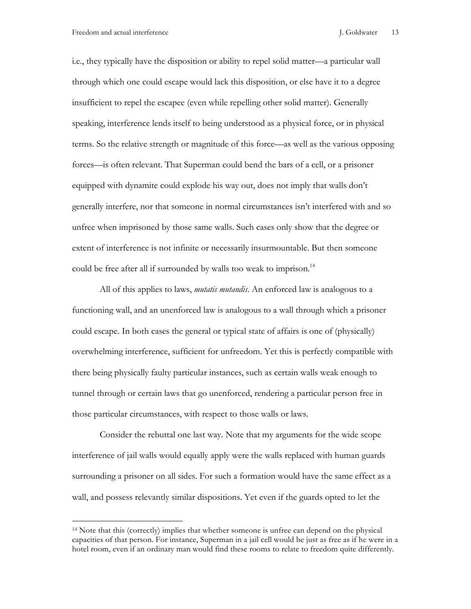i.e., they typically have the disposition or ability to repel solid matter—a particular wall through which one could escape would lack this disposition, or else have it to a degree insufficient to repel the escapee (even while repelling other solid matter). Generally speaking, interference lends itself to being understood as a physical force, or in physical terms. So the relative strength or magnitude of this force—as well as the various opposing forces—is often relevant. That Superman could bend the bars of a cell, or a prisoner equipped with dynamite could explode his way out, does not imply that walls don't generally interfere, nor that someone in normal circumstances isn't interfered with and so unfree when imprisoned by those same walls. Such cases only show that the degree or extent of interference is not infinite or necessarily insurmountable. But then someone could be free after all if surrounded by walls too weak to imprison.<sup>14</sup>

All of this applies to laws, *mutatis mutandis*. An enforced law is analogous to a functioning wall, and an unenforced law is analogous to a wall through which a prisoner could escape. In both cases the general or typical state of affairs is one of (physically) overwhelming interference, sufficient for unfreedom. Yet this is perfectly compatible with there being physically faulty particular instances, such as certain walls weak enough to tunnel through or certain laws that go unenforced, rendering a particular person free in those particular circumstances, with respect to those walls or laws.

Consider the rebuttal one last way. Note that my arguments for the wide scope interference of jail walls would equally apply were the walls replaced with human guards surrounding a prisoner on all sides. For such a formation would have the same effect as a wall, and possess relevantly similar dispositions. Yet even if the guards opted to let the

<sup>14</sup> Note that this (correctly) implies that whether someone is unfree can depend on the physical capacities of that person. For instance, Superman in a jail cell would be just as free as if he were in a hotel room, even if an ordinary man would find these rooms to relate to freedom quite differently.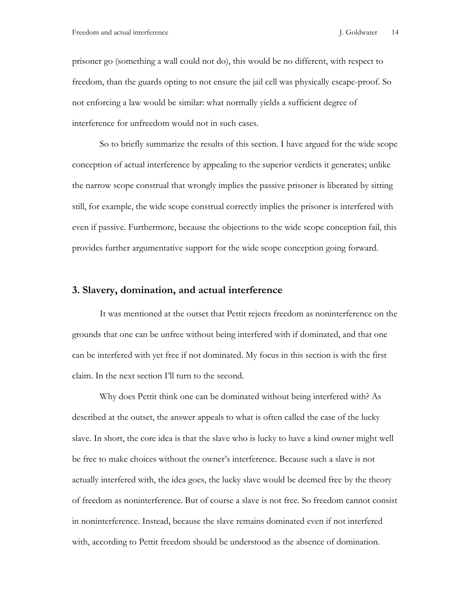prisoner go (something a wall could not do), this would be no different, with respect to freedom, than the guards opting to not ensure the jail cell was physically escape-proof. So not enforcing a law would be similar: what normally yields a sufficient degree of interference for unfreedom would not in such cases.

So to briefly summarize the results of this section. I have argued for the wide scope conception of actual interference by appealing to the superior verdicts it generates; unlike the narrow scope construal that wrongly implies the passive prisoner is liberated by sitting still, for example, the wide scope construal correctly implies the prisoner is interfered with even if passive. Furthermore, because the objections to the wide scope conception fail, this provides further argumentative support for the wide scope conception going forward.

#### **3. Slavery, domination, and actual interference**

It was mentioned at the outset that Pettit rejects freedom as noninterference on the grounds that one can be unfree without being interfered with if dominated, and that one can be interfered with yet free if not dominated. My focus in this section is with the first claim. In the next section I'll turn to the second.

Why does Pettit think one can be dominated without being interfered with? As described at the outset, the answer appeals to what is often called the case of the lucky slave. In short, the core idea is that the slave who is lucky to have a kind owner might well be free to make choices without the owner's interference. Because such a slave is not actually interfered with, the idea goes, the lucky slave would be deemed free by the theory of freedom as noninterference. But of course a slave is not free. So freedom cannot consist in noninterference. Instead, because the slave remains dominated even if not interfered with, according to Pettit freedom should be understood as the absence of domination.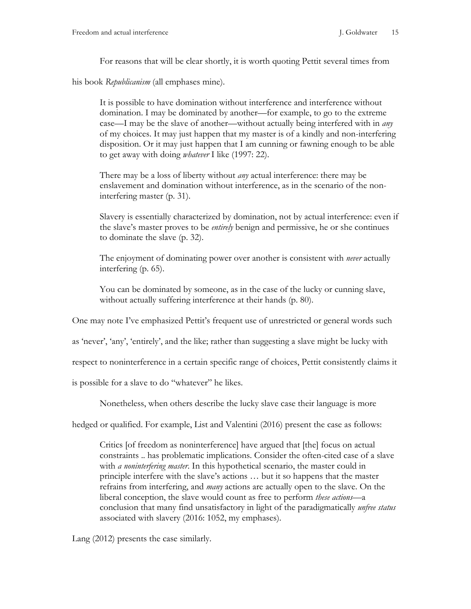For reasons that will be clear shortly, it is worth quoting Pettit several times from

his book *Republicanism* (all emphases mine).

It is possible to have domination without interference and interference without domination. I may be dominated by another—for example, to go to the extreme case—I may be the slave of another—without actually being interfered with in *any* of my choices. It may just happen that my master is of a kindly and non-interfering disposition. Or it may just happen that I am cunning or fawning enough to be able to get away with doing *whatever* I like (1997: 22).

There may be a loss of liberty without *any* actual interference: there may be enslavement and domination without interference, as in the scenario of the noninterfering master (p. 31).

Slavery is essentially characterized by domination, not by actual interference: even if the slave's master proves to be *entirely* benign and permissive, he or she continues to dominate the slave (p. 32).

The enjoyment of dominating power over another is consistent with *never* actually interfering (p. 65).

You can be dominated by someone, as in the case of the lucky or cunning slave, without actually suffering interference at their hands (p. 80).

One may note I've emphasized Pettit's frequent use of unrestricted or general words such

as 'never', 'any', 'entirely', and the like; rather than suggesting a slave might be lucky with

respect to noninterference in a certain specific range of choices, Pettit consistently claims it

is possible for a slave to do "whatever" he likes.

Nonetheless, when others describe the lucky slave case their language is more

hedged or qualified. For example, List and Valentini (2016) present the case as follows:

Critics [of freedom as noninterference] have argued that [the] focus on actual constraints .. has problematic implications. Consider the often-cited case of a slave with *a noninterfering master*. In this hypothetical scenario, the master could in principle interfere with the slave's actions … but it so happens that the master refrains from interfering, and *many* actions are actually open to the slave. On the liberal conception, the slave would count as free to perform *these actions*—a conclusion that many find unsatisfactory in light of the paradigmatically *unfree status* associated with slavery (2016: 1052, my emphases).

Lang (2012) presents the case similarly.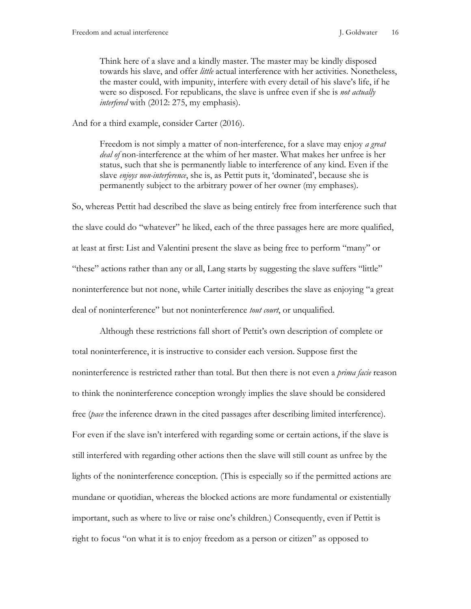Think here of a slave and a kindly master. The master may be kindly disposed towards his slave, and offer *little* actual interference with her activities. Nonetheless, the master could, with impunity, interfere with every detail of his slave's life, if he were so disposed. For republicans, the slave is unfree even if she is *not actually interfered* with (2012: 275, my emphasis).

And for a third example, consider Carter (2016).

Freedom is not simply a matter of non-interference, for a slave may enjoy *a great deal of* non-interference at the whim of her master. What makes her unfree is her status, such that she is permanently liable to interference of any kind. Even if the slave *enjoys non-interference*, she is, as Pettit puts it, 'dominated', because she is permanently subject to the arbitrary power of her owner (my emphases).

So, whereas Pettit had described the slave as being entirely free from interference such that the slave could do "whatever" he liked, each of the three passages here are more qualified, at least at first: List and Valentini present the slave as being free to perform "many" or "these" actions rather than any or all, Lang starts by suggesting the slave suffers "little" noninterference but not none, while Carter initially describes the slave as enjoying "a great deal of noninterference" but not noninterference *tout court*, or unqualified.

Although these restrictions fall short of Pettit's own description of complete or total noninterference, it is instructive to consider each version. Suppose first the noninterference is restricted rather than total. But then there is not even a *prima facie* reason to think the noninterference conception wrongly implies the slave should be considered free (*pace* the inference drawn in the cited passages after describing limited interference). For even if the slave isn't interfered with regarding some or certain actions, if the slave is still interfered with regarding other actions then the slave will still count as unfree by the lights of the noninterference conception. (This is especially so if the permitted actions are mundane or quotidian, whereas the blocked actions are more fundamental or existentially important, such as where to live or raise one's children.) Consequently, even if Pettit is right to focus "on what it is to enjoy freedom as a person or citizen" as opposed to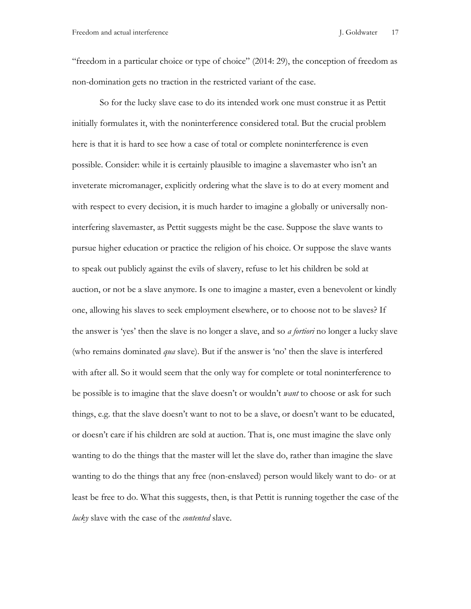"freedom in a particular choice or type of choice" (2014: 29), the conception of freedom as non-domination gets no traction in the restricted variant of the case.

So for the lucky slave case to do its intended work one must construe it as Pettit initially formulates it, with the noninterference considered total. But the crucial problem here is that it is hard to see how a case of total or complete noninterference is even possible. Consider: while it is certainly plausible to imagine a slavemaster who isn't an inveterate micromanager, explicitly ordering what the slave is to do at every moment and with respect to every decision, it is much harder to imagine a globally or universally noninterfering slavemaster, as Pettit suggests might be the case. Suppose the slave wants to pursue higher education or practice the religion of his choice. Or suppose the slave wants to speak out publicly against the evils of slavery, refuse to let his children be sold at auction, or not be a slave anymore. Is one to imagine a master, even a benevolent or kindly one, allowing his slaves to seek employment elsewhere, or to choose not to be slaves? If the answer is 'yes' then the slave is no longer a slave, and so *a fortiori* no longer a lucky slave (who remains dominated *qua* slave). But if the answer is 'no' then the slave is interfered with after all. So it would seem that the only way for complete or total noninterference to be possible is to imagine that the slave doesn't or wouldn't *want* to choose or ask for such things, e.g. that the slave doesn't want to not to be a slave, or doesn't want to be educated, or doesn't care if his children are sold at auction. That is, one must imagine the slave only wanting to do the things that the master will let the slave do, rather than imagine the slave wanting to do the things that any free (non-enslaved) person would likely want to do- or at least be free to do. What this suggests, then, is that Pettit is running together the case of the *lucky* slave with the case of the *contented* slave.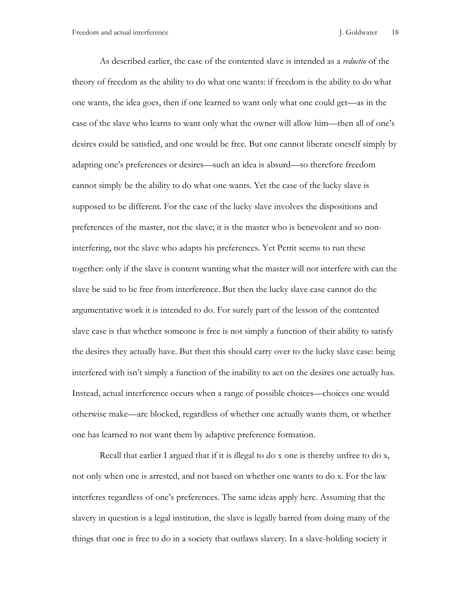As described earlier, the case of the contented slave is intended as a *reductio* of the theory of freedom as the ability to do what one wants: if freedom is the ability to do what one wants, the idea goes, then if one learned to want only what one could get—as in the case of the slave who learns to want only what the owner will allow him—then all of one's desires could be satisfied, and one would be free. But one cannot liberate oneself simply by adapting one's preferences or desires—such an idea is absurd—so therefore freedom cannot simply be the ability to do what one wants. Yet the case of the lucky slave is supposed to be different. For the case of the lucky slave involves the dispositions and preferences of the master, not the slave; it is the master who is benevolent and so noninterfering, not the slave who adapts his preferences. Yet Pettit seems to run these together: only if the slave is content wanting what the master will not interfere with can the slave be said to be free from interference. But then the lucky slave case cannot do the argumentative work it is intended to do. For surely part of the lesson of the contented slave case is that whether someone is free is not simply a function of their ability to satisfy the desires they actually have. But then this should carry over to the lucky slave case: being interfered with isn't simply a function of the inability to act on the desires one actually has. Instead, actual interference occurs when a range of possible choices—choices one would otherwise make—are blocked, regardless of whether one actually wants them, or whether one has learned to not want them by adaptive preference formation.

Recall that earlier I argued that if it is illegal to do x one is thereby unfree to do x, not only when one is arrested, and not based on whether one wants to do x. For the law interferes regardless of one's preferences. The same ideas apply here. Assuming that the slavery in question is a legal institution, the slave is legally barred from doing many of the things that one is free to do in a society that outlaws slavery. In a slave-holding society it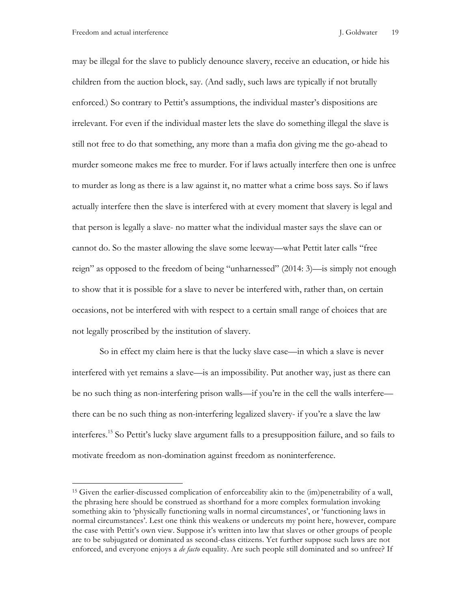may be illegal for the slave to publicly denounce slavery, receive an education, or hide his children from the auction block, say. (And sadly, such laws are typically if not brutally enforced.) So contrary to Pettit's assumptions, the individual master's dispositions are irrelevant. For even if the individual master lets the slave do something illegal the slave is still not free to do that something, any more than a mafia don giving me the go-ahead to murder someone makes me free to murder. For if laws actually interfere then one is unfree to murder as long as there is a law against it, no matter what a crime boss says. So if laws actually interfere then the slave is interfered with at every moment that slavery is legal and that person is legally a slave- no matter what the individual master says the slave can or cannot do. So the master allowing the slave some leeway—what Pettit later calls "free reign" as opposed to the freedom of being "unharnessed" (2014: 3)—is simply not enough to show that it is possible for a slave to never be interfered with, rather than, on certain occasions, not be interfered with with respect to a certain small range of choices that are not legally proscribed by the institution of slavery.

So in effect my claim here is that the lucky slave case—in which a slave is never interfered with yet remains a slave—is an impossibility. Put another way, just as there can be no such thing as non-interfering prison walls—if you're in the cell the walls interfere there can be no such thing as non-interfering legalized slavery- if you're a slave the law interferes.15 So Pettit's lucky slave argument falls to a presupposition failure, and so fails to motivate freedom as non-domination against freedom as noninterference.

<sup>15</sup> Given the earlier-discussed complication of enforceability akin to the (im)penetrability of a wall, the phrasing here should be construed as shorthand for a more complex formulation invoking something akin to 'physically functioning walls in normal circumstances', or 'functioning laws in normal circumstances'. Lest one think this weakens or undercuts my point here, however, compare the case with Pettit's own view. Suppose it's written into law that slaves or other groups of people are to be subjugated or dominated as second-class citizens. Yet further suppose such laws are not enforced, and everyone enjoys a *de facto* equality. Are such people still dominated and so unfree? If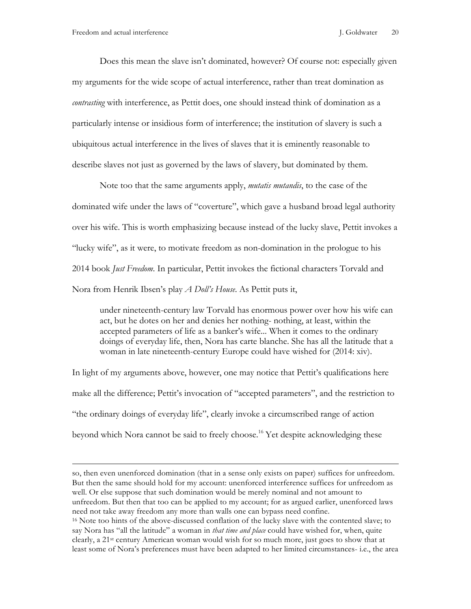Does this mean the slave isn't dominated, however? Of course not: especially given my arguments for the wide scope of actual interference, rather than treat domination as *contrasting* with interference, as Pettit does, one should instead think of domination as a particularly intense or insidious form of interference; the institution of slavery is such a ubiquitous actual interference in the lives of slaves that it is eminently reasonable to describe slaves not just as governed by the laws of slavery, but dominated by them.

Note too that the same arguments apply, *mutatis mutandis*, to the case of the dominated wife under the laws of "coverture", which gave a husband broad legal authority over his wife. This is worth emphasizing because instead of the lucky slave, Pettit invokes a "lucky wife", as it were, to motivate freedom as non-domination in the prologue to his 2014 book *Just Freedom*. In particular, Pettit invokes the fictional characters Torvald and Nora from Henrik Ibsen's play *A Doll's House*. As Pettit puts it,

under nineteenth-century law Torvald has enormous power over how his wife can act, but he dotes on her and denies her nothing- nothing, at least, within the accepted parameters of life as a banker's wife... When it comes to the ordinary doings of everyday life, then, Nora has carte blanche. She has all the latitude that a woman in late nineteenth-century Europe could have wished for (2014: xiv).

In light of my arguments above, however, one may notice that Pettit's qualifications here make all the difference; Pettit's invocation of "accepted parameters", and the restriction to "the ordinary doings of everyday life", clearly invoke a circumscribed range of action beyond which Nora cannot be said to freely choose.<sup>16</sup> Yet despite acknowledging these

so, then even unenforced domination (that in a sense only exists on paper) suffices for unfreedom. But then the same should hold for my account: unenforced interference suffices for unfreedom as well. Or else suppose that such domination would be merely nominal and not amount to unfreedom. But then that too can be applied to my account; for as argued earlier, unenforced laws need not take away freedom any more than walls one can bypass need confine. <sup>16</sup> Note too hints of the above-discussed conflation of the lucky slave with the contented slave; to say Nora has "all the latitude" a woman in *that time and place* could have wished for, when, quite clearly, a 21st century American woman would wish for so much more, just goes to show that at least some of Nora's preferences must have been adapted to her limited circumstances- i.e., the area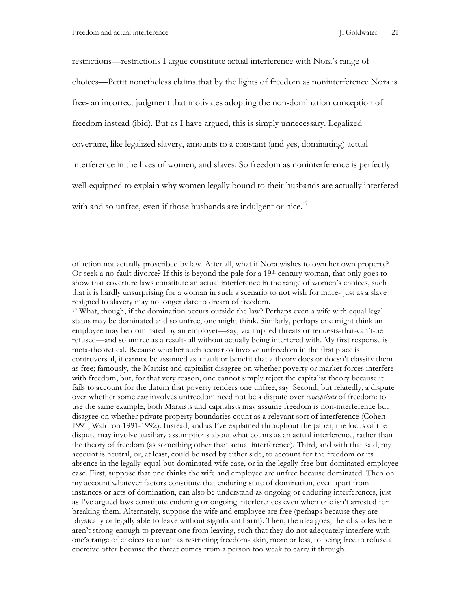restrictions—restrictions I argue constitute actual interference with Nora's range of choices—Pettit nonetheless claims that by the lights of freedom as noninterference Nora is free- an incorrect judgment that motivates adopting the non-domination conception of freedom instead (ibid). But as I have argued, this is simply unnecessary. Legalized coverture, like legalized slavery, amounts to a constant (and yes, dominating) actual interference in the lives of women, and slaves. So freedom as noninterference is perfectly well-equipped to explain why women legally bound to their husbands are actually interfered with and so unfree, even if those husbands are indulgent or nice.<sup>17</sup>

of action not actually proscribed by law. After all, what if Nora wishes to own her own property? Or seek a no-fault divorce? If this is beyond the pale for a  $19<sup>th</sup>$  century woman, that only goes to show that coverture laws constitute an actual interference in the range of women's choices, such that it is hardly unsurprising for a woman in such a scenario to not wish for more- just as a slave resigned to slavery may no longer dare to dream of freedom.

<sup>17</sup> What, though, if the domination occurs outside the law? Perhaps even a wife with equal legal status may be dominated and so unfree, one might think. Similarly, perhaps one might think an employee may be dominated by an employer—say, via implied threats or requests-that-can't-be refused—and so unfree as a result- all without actually being interfered with. My first response is meta-theoretical. Because whether such scenarios involve unfreedom in the first place is controversial, it cannot be assumed as a fault or benefit that a theory does or doesn't classify them as free; famously, the Marxist and capitalist disagree on whether poverty or market forces interfere with freedom, but, for that very reason, one cannot simply reject the capitalist theory because it fails to account for the datum that poverty renders one unfree, say. Second, but relatedly, a dispute over whether some *case* involves unfreedom need not be a dispute over *conceptions* of freedom: to use the same example, both Marxists and capitalists may assume freedom is non-interference but disagree on whether private property boundaries count as a relevant sort of interference (Cohen 1991, Waldron 1991-1992). Instead, and as I've explained throughout the paper, the locus of the dispute may involve auxiliary assumptions about what counts as an actual interference, rather than the theory of freedom (as something other than actual interference). Third, and with that said, my account is neutral, or, at least, could be used by either side, to account for the freedom or its absence in the legally-equal-but-dominated-wife case, or in the legally-free-but-dominated-employee case. First, suppose that one thinks the wife and employee are unfree because dominated. Then on my account whatever factors constitute that enduring state of domination, even apart from instances or acts of domination, can also be understand as ongoing or enduring interferences, just as I've argued laws constitute enduring or ongoing interferences even when one isn't arrested for breaking them. Alternately, suppose the wife and employee are free (perhaps because they are physically or legally able to leave without significant harm). Then, the idea goes, the obstacles here aren't strong enough to prevent one from leaving, such that they do not adequately interfere with one's range of choices to count as restricting freedom- akin, more or less, to being free to refuse a coercive offer because the threat comes from a person too weak to carry it through.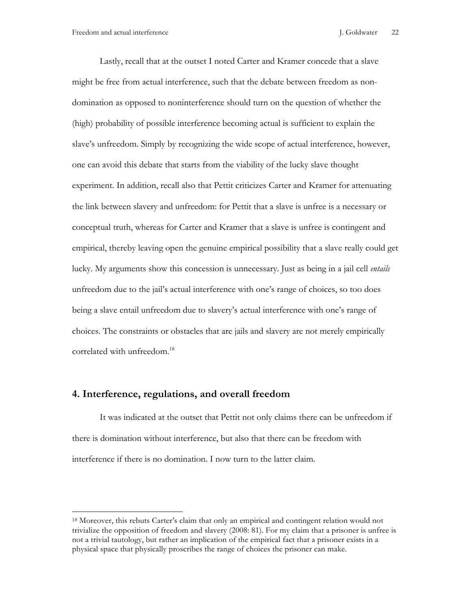Lastly, recall that at the outset I noted Carter and Kramer concede that a slave might be free from actual interference, such that the debate between freedom as nondomination as opposed to noninterference should turn on the question of whether the (high) probability of possible interference becoming actual is sufficient to explain the slave's unfreedom. Simply by recognizing the wide scope of actual interference, however, one can avoid this debate that starts from the viability of the lucky slave thought experiment. In addition, recall also that Pettit criticizes Carter and Kramer for attenuating the link between slavery and unfreedom: for Pettit that a slave is unfree is a necessary or conceptual truth, whereas for Carter and Kramer that a slave is unfree is contingent and empirical, thereby leaving open the genuine empirical possibility that a slave really could get lucky. My arguments show this concession is unnecessary. Just as being in a jail cell *entails* unfreedom due to the jail's actual interference with one's range of choices, so too does being a slave entail unfreedom due to slavery's actual interference with one's range of choices. The constraints or obstacles that are jails and slavery are not merely empirically correlated with unfreedom. 18

### **4. Interference, regulations, and overall freedom**

<u>.</u>

It was indicated at the outset that Pettit not only claims there can be unfreedom if there is domination without interference, but also that there can be freedom with interference if there is no domination. I now turn to the latter claim.

<sup>&</sup>lt;sup>18</sup> Moreover, this rebuts Carter's claim that only an empirical and contingent relation would not trivialize the opposition of freedom and slavery (2008: 81). For my claim that a prisoner is unfree is not a trivial tautology, but rather an implication of the empirical fact that a prisoner exists in a physical space that physically proscribes the range of choices the prisoner can make.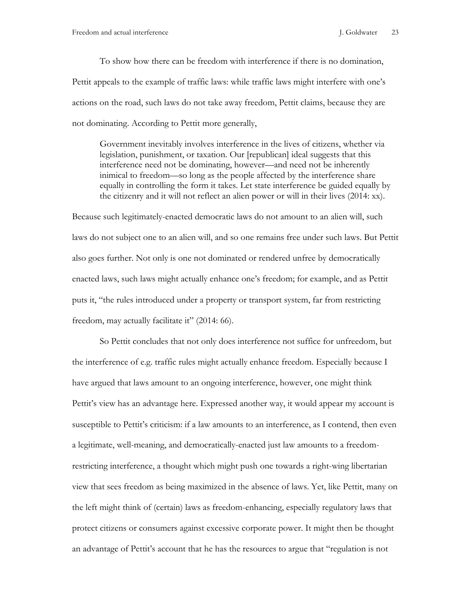To show how there can be freedom with interference if there is no domination, Pettit appeals to the example of traffic laws: while traffic laws might interfere with one's actions on the road, such laws do not take away freedom, Pettit claims, because they are not dominating. According to Pettit more generally,

Government inevitably involves interference in the lives of citizens, whether via legislation, punishment, or taxation. Our [republican] ideal suggests that this interference need not be dominating, however—and need not be inherently inimical to freedom—so long as the people affected by the interference share equally in controlling the form it takes. Let state interference be guided equally by the citizenry and it will not reflect an alien power or will in their lives (2014: xx).

Because such legitimately-enacted democratic laws do not amount to an alien will, such laws do not subject one to an alien will, and so one remains free under such laws. But Pettit also goes further. Not only is one not dominated or rendered unfree by democratically enacted laws, such laws might actually enhance one's freedom; for example, and as Pettit puts it, "the rules introduced under a property or transport system, far from restricting freedom, may actually facilitate it" (2014: 66).

So Pettit concludes that not only does interference not suffice for unfreedom, but the interference of e.g. traffic rules might actually enhance freedom. Especially because I have argued that laws amount to an ongoing interference, however, one might think Pettit's view has an advantage here. Expressed another way, it would appear my account is susceptible to Pettit's criticism: if a law amounts to an interference, as I contend, then even a legitimate, well-meaning, and democratically-enacted just law amounts to a freedomrestricting interference, a thought which might push one towards a right-wing libertarian view that sees freedom as being maximized in the absence of laws. Yet, like Pettit, many on the left might think of (certain) laws as freedom-enhancing, especially regulatory laws that protect citizens or consumers against excessive corporate power. It might then be thought an advantage of Pettit's account that he has the resources to argue that "regulation is not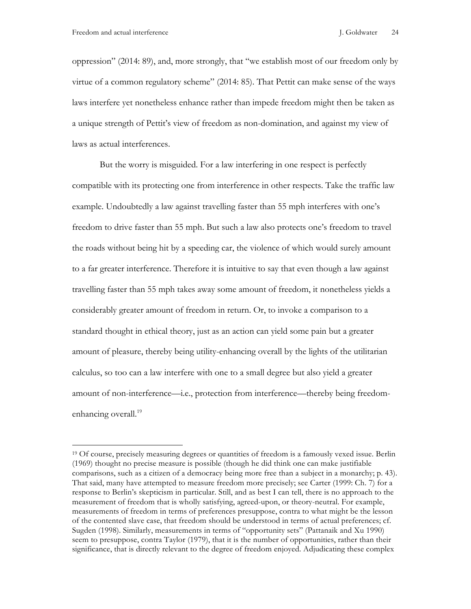oppression" (2014: 89), and, more strongly, that "we establish most of our freedom only by virtue of a common regulatory scheme" (2014: 85). That Pettit can make sense of the ways laws interfere yet nonetheless enhance rather than impede freedom might then be taken as a unique strength of Pettit's view of freedom as non-domination, and against my view of laws as actual interferences.

But the worry is misguided. For a law interfering in one respect is perfectly compatible with its protecting one from interference in other respects. Take the traffic law example. Undoubtedly a law against travelling faster than 55 mph interferes with one's freedom to drive faster than 55 mph. But such a law also protects one's freedom to travel the roads without being hit by a speeding car, the violence of which would surely amount to a far greater interference. Therefore it is intuitive to say that even though a law against travelling faster than 55 mph takes away some amount of freedom, it nonetheless yields a considerably greater amount of freedom in return. Or, to invoke a comparison to a standard thought in ethical theory, just as an action can yield some pain but a greater amount of pleasure, thereby being utility-enhancing overall by the lights of the utilitarian calculus, so too can a law interfere with one to a small degree but also yield a greater amount of non-interference—i.e., protection from interference—thereby being freedomenhancing overall.<sup>19</sup>

<sup>&</sup>lt;sup>19</sup> Of course, precisely measuring degrees or quantities of freedom is a famously vexed issue. Berlin (1969) thought no precise measure is possible (though he did think one can make justifiable comparisons, such as a citizen of a democracy being more free than a subject in a monarchy; p. 43). That said, many have attempted to measure freedom more precisely; see Carter (1999: Ch. 7) for a response to Berlin's skepticism in particular. Still, and as best I can tell, there is no approach to the measurement of freedom that is wholly satisfying, agreed-upon, or theory-neutral. For example, measurements of freedom in terms of preferences presuppose, contra to what might be the lesson of the contented slave case, that freedom should be understood in terms of actual preferences; cf. Sugden (1998). Similarly, measurements in terms of "opportunity sets" (Pattanaik and Xu 1990) seem to presuppose, contra Taylor (1979), that it is the number of opportunities, rather than their significance, that is directly relevant to the degree of freedom enjoyed. Adjudicating these complex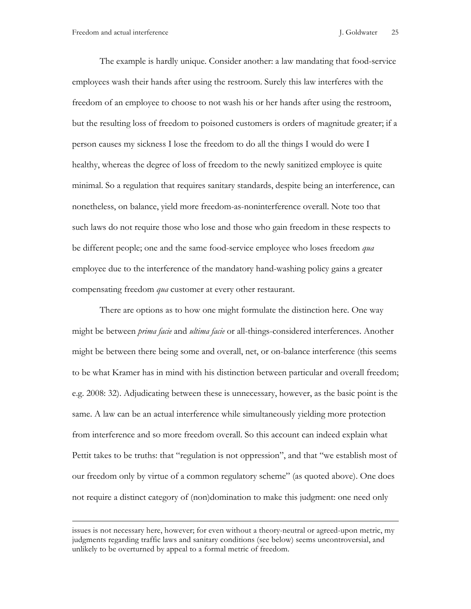The example is hardly unique. Consider another: a law mandating that food-service employees wash their hands after using the restroom. Surely this law interferes with the freedom of an employee to choose to not wash his or her hands after using the restroom, but the resulting loss of freedom to poisoned customers is orders of magnitude greater; if a person causes my sickness I lose the freedom to do all the things I would do were I healthy, whereas the degree of loss of freedom to the newly sanitized employee is quite minimal. So a regulation that requires sanitary standards, despite being an interference, can nonetheless, on balance, yield more freedom-as-noninterference overall. Note too that such laws do not require those who lose and those who gain freedom in these respects to be different people; one and the same food-service employee who loses freedom *qua* employee due to the interference of the mandatory hand-washing policy gains a greater compensating freedom *qua* customer at every other restaurant.

There are options as to how one might formulate the distinction here. One way might be between *prima facie* and *ultima facie* or all-things-considered interferences. Another might be between there being some and overall, net, or on-balance interference (this seems to be what Kramer has in mind with his distinction between particular and overall freedom; e.g. 2008: 32). Adjudicating between these is unnecessary, however, as the basic point is the same. A law can be an actual interference while simultaneously yielding more protection from interference and so more freedom overall. So this account can indeed explain what Pettit takes to be truths: that "regulation is not oppression", and that "we establish most of our freedom only by virtue of a common regulatory scheme" (as quoted above). One does not require a distinct category of (non)domination to make this judgment: one need only

issues is not necessary here, however; for even without a theory-neutral or agreed-upon metric, my judgments regarding traffic laws and sanitary conditions (see below) seems uncontroversial, and unlikely to be overturned by appeal to a formal metric of freedom.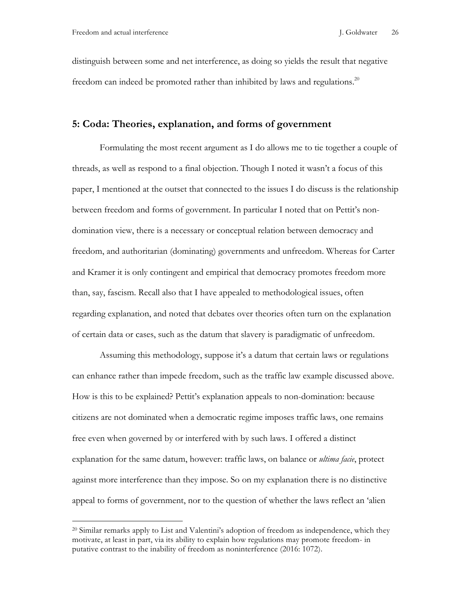distinguish between some and net interference, as doing so yields the result that negative freedom can indeed be promoted rather than inhibited by laws and regulations.<sup>20</sup>

### **5: Coda: Theories, explanation, and forms of government**

Formulating the most recent argument as I do allows me to tie together a couple of threads, as well as respond to a final objection. Though I noted it wasn't a focus of this paper, I mentioned at the outset that connected to the issues I do discuss is the relationship between freedom and forms of government. In particular I noted that on Pettit's nondomination view, there is a necessary or conceptual relation between democracy and freedom, and authoritarian (dominating) governments and unfreedom. Whereas for Carter and Kramer it is only contingent and empirical that democracy promotes freedom more than, say, fascism. Recall also that I have appealed to methodological issues, often regarding explanation, and noted that debates over theories often turn on the explanation of certain data or cases, such as the datum that slavery is paradigmatic of unfreedom.

Assuming this methodology, suppose it's a datum that certain laws or regulations can enhance rather than impede freedom, such as the traffic law example discussed above. How is this to be explained? Pettit's explanation appeals to non-domination: because citizens are not dominated when a democratic regime imposes traffic laws, one remains free even when governed by or interfered with by such laws. I offered a distinct explanation for the same datum, however: traffic laws, on balance or *ultima facie*, protect against more interference than they impose. So on my explanation there is no distinctive appeal to forms of government, nor to the question of whether the laws reflect an 'alien

<sup>&</sup>lt;sup>20</sup> Similar remarks apply to List and Valentini's adoption of freedom as independence, which they motivate, at least in part, via its ability to explain how regulations may promote freedom- in putative contrast to the inability of freedom as noninterference (2016: 1072).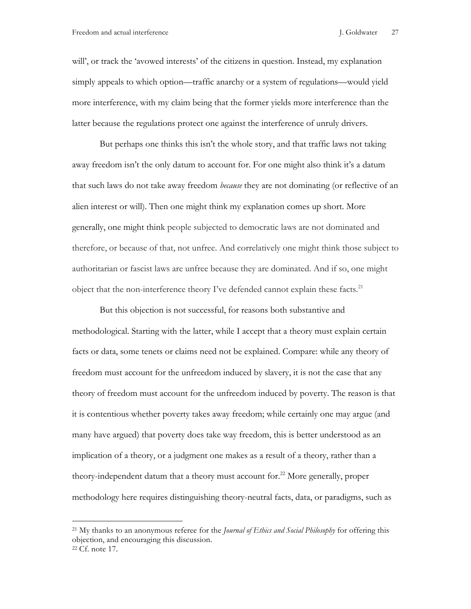will', or track the 'avowed interests' of the citizens in question. Instead, my explanation simply appeals to which option—traffic anarchy or a system of regulations—would yield more interference, with my claim being that the former yields more interference than the latter because the regulations protect one against the interference of unruly drivers.

But perhaps one thinks this isn't the whole story, and that traffic laws not taking away freedom isn't the only datum to account for. For one might also think it's a datum that such laws do not take away freedom *because* they are not dominating (or reflective of an alien interest or will). Then one might think my explanation comes up short. More generally, one might think people subjected to democratic laws are not dominated and therefore, or because of that, not unfree. And correlatively one might think those subject to authoritarian or fascist laws are unfree because they are dominated. And if so, one might object that the non-interference theory I've defended cannot explain these facts.<sup>21</sup>

But this objection is not successful, for reasons both substantive and methodological. Starting with the latter, while I accept that a theory must explain certain facts or data, some tenets or claims need not be explained. Compare: while any theory of freedom must account for the unfreedom induced by slavery, it is not the case that any theory of freedom must account for the unfreedom induced by poverty. The reason is that it is contentious whether poverty takes away freedom; while certainly one may argue (and many have argued) that poverty does take way freedom, this is better understood as an implication of a theory, or a judgment one makes as a result of a theory, rather than a theory-independent datum that a theory must account for.<sup>22</sup> More generally, proper methodology here requires distinguishing theory-neutral facts, data, or paradigms, such as

1

<sup>21</sup> My thanks to an anonymous referee for the *Journal of Ethics and Social Philosophy* for offering this objection, and encouraging this discussion.

<sup>22</sup> Cf. note 17.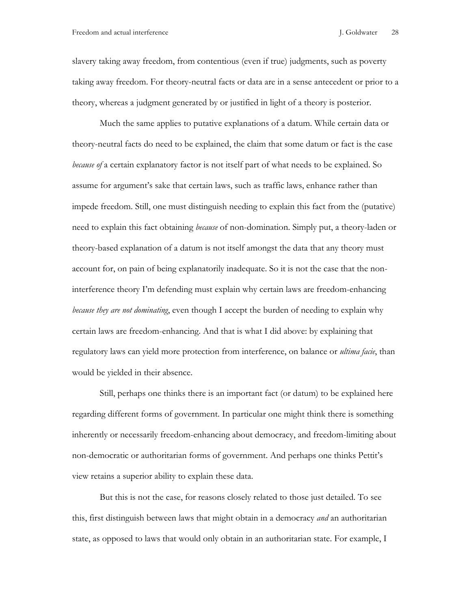slavery taking away freedom, from contentious (even if true) judgments, such as poverty taking away freedom. For theory-neutral facts or data are in a sense antecedent or prior to a theory, whereas a judgment generated by or justified in light of a theory is posterior.

Much the same applies to putative explanations of a datum. While certain data or theory-neutral facts do need to be explained, the claim that some datum or fact is the case *because of* a certain explanatory factor is not itself part of what needs to be explained. So assume for argument's sake that certain laws, such as traffic laws, enhance rather than impede freedom. Still, one must distinguish needing to explain this fact from the (putative) need to explain this fact obtaining *because* of non-domination. Simply put, a theory-laden or theory-based explanation of a datum is not itself amongst the data that any theory must account for, on pain of being explanatorily inadequate. So it is not the case that the noninterference theory I'm defending must explain why certain laws are freedom-enhancing *because they are not dominating*, even though I accept the burden of needing to explain why certain laws are freedom-enhancing. And that is what I did above: by explaining that regulatory laws can yield more protection from interference, on balance or *ultima facie*, than would be yielded in their absence.

Still, perhaps one thinks there is an important fact (or datum) to be explained here regarding different forms of government. In particular one might think there is something inherently or necessarily freedom-enhancing about democracy, and freedom-limiting about non-democratic or authoritarian forms of government. And perhaps one thinks Pettit's view retains a superior ability to explain these data.

But this is not the case, for reasons closely related to those just detailed. To see this, first distinguish between laws that might obtain in a democracy *and* an authoritarian state, as opposed to laws that would only obtain in an authoritarian state. For example, I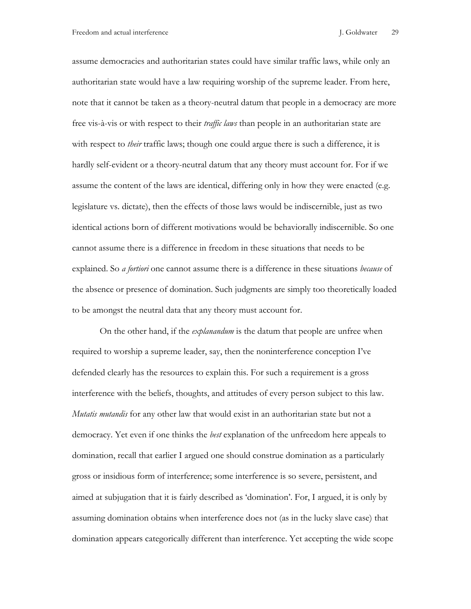assume democracies and authoritarian states could have similar traffic laws, while only an authoritarian state would have a law requiring worship of the supreme leader. From here, note that it cannot be taken as a theory-neutral datum that people in a democracy are more free vis-à-vis or with respect to their *traffic laws* than people in an authoritarian state are with respect to *their* traffic laws; though one could argue there is such a difference, it is hardly self-evident or a theory-neutral datum that any theory must account for. For if we assume the content of the laws are identical, differing only in how they were enacted (e.g. legislature vs. dictate), then the effects of those laws would be indiscernible, just as two identical actions born of different motivations would be behaviorally indiscernible. So one cannot assume there is a difference in freedom in these situations that needs to be explained. So *a fortiori* one cannot assume there is a difference in these situations *because* of the absence or presence of domination. Such judgments are simply too theoretically loaded to be amongst the neutral data that any theory must account for.

On the other hand, if the *explanandum* is the datum that people are unfree when required to worship a supreme leader, say, then the noninterference conception I've defended clearly has the resources to explain this. For such a requirement is a gross interference with the beliefs, thoughts, and attitudes of every person subject to this law. *Mutatis mutandis* for any other law that would exist in an authoritarian state but not a democracy. Yet even if one thinks the *best* explanation of the unfreedom here appeals to domination, recall that earlier I argued one should construe domination as a particularly gross or insidious form of interference; some interference is so severe, persistent, and aimed at subjugation that it is fairly described as 'domination'. For, I argued, it is only by assuming domination obtains when interference does not (as in the lucky slave case) that domination appears categorically different than interference. Yet accepting the wide scope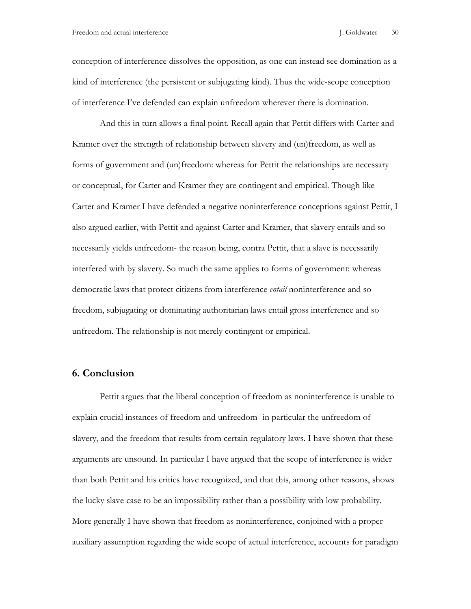conception of interference dissolves the opposition, as one can instead see domination as a kind of interference (the persistent or subjugating kind). Thus the wide-scope conception of interference I've defended can explain unfreedom wherever there is domination.

And this in turn allows a final point. Recall again that Pettit differs with Carter and Kramer over the strength of relationship between slavery and (un)freedom, as well as forms of government and (un)freedom: whereas for Pettit the relationships are necessary or conceptual, for Carter and Kramer they are contingent and empirical. Though like Carter and Kramer I have defended a negative noninterference conceptions against Pettit, I also argued earlier, with Pettit and against Carter and Kramer, that slavery entails and so necessarily yields unfreedom- the reason being, contra Pettit, that a slave is necessarily interfered with by slavery. So much the same applies to forms of government: whereas democratic laws that protect citizens from interference *entail* noninterference and so freedom, subjugating or dominating authoritarian laws entail gross interference and so unfreedom. The relationship is not merely contingent or empirical.

### **6. Conclusion**

Pettit argues that the liberal conception of freedom as noninterference is unable to explain crucial instances of freedom and unfreedom- in particular the unfreedom of slavery, and the freedom that results from certain regulatory laws. I have shown that these arguments are unsound. In particular I have argued that the scope of interference is wider than both Pettit and his critics have recognized, and that this, among other reasons, shows the lucky slave case to be an impossibility rather than a possibility with low probability. More generally I have shown that freedom as noninterference, conjoined with a proper auxiliary assumption regarding the wide scope of actual interference, accounts for paradigm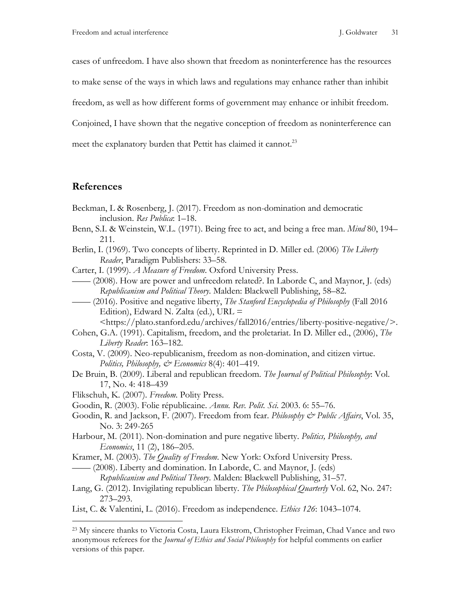cases of unfreedom. I have also shown that freedom as noninterference has the resources

to make sense of the ways in which laws and regulations may enhance rather than inhibit

freedom, as well as how different forms of government may enhance or inhibit freedom.

Conjoined, I have shown that the negative conception of freedom as noninterference can

meet the explanatory burden that Pettit has claimed it cannot.<sup>23</sup>

# **References**

1

- Beckman, L & Rosenberg, J. (2017). Freedom as non-domination and democratic inclusion. *Res Publica*: 1–18.
- Benn, S.I. & Weinstein, W.L. (1971). Being free to act, and being a free man. *Mind* 80, 194– 211.
- Berlin, I. (1969). Two concepts of liberty. Reprinted in D. Miller ed. (2006) *The Liberty Reader*, Paradigm Publishers: 33–58.
- Carter, I. (1999). *A Measure of Freedom*. Oxford University Press.
- —— (2008). How are power and unfreedom related?. In Laborde C, and Maynor, J. (eds) *Republicanism and Political Theory*. Malden: Blackwell Publishing, 58–82.
- —— (2016). Positive and negative liberty, *The Stanford Encyclopedia of Philosophy* (Fall 2016 Edition), Edward N. Zalta (ed.), URL  $=$

<https://plato.stanford.edu/archives/fall2016/entries/liberty-positive-negative/>.

- Cohen, G.A. (1991). Capitalism, freedom, and the proletariat. In D. Miller ed., (2006), *The Liberty Reader*: 163–182.
- Costa, V. (2009). Neo-republicanism, freedom as non-domination, and citizen virtue. *Politics, Philosophy, & Economics* 8(4): 401–419.
- De Bruin, B. (2009). Liberal and republican freedom. *The Journal of Political Philosophy*: Vol. 17, No. 4: 418–439
- Flikschuh, K. (2007). *Freedom*. Polity Press.
- Goodin, R. (2003). Folie républicaine. *Annu. Rev. Polit. Sci*. 2003. 6: 55–76.
- Goodin, R. and Jackson, F. (2007). Freedom from fear. *Philosophy & Public Affairs*, Vol. 35, No. 3: 249-265
- Harbour, M. (2011). Non-domination and pure negative liberty. *Politics, Philosophy, and Economics*, 11 (2), 186–205.
- Kramer, M. (2003). *The Quality of Freedom*. New York: Oxford University Press. —— (2008). Liberty and domination. In Laborde, C. and Maynor, J. (eds)

*Republicanism and Political Theory*. Malden: Blackwell Publishing, 31–57.

- Lang, G. (2012). Invigilating republican liberty. *The Philosophical Quarterly* Vol. 62, No. 247: 273–293.
- List, C. & Valentini, L. (2016). Freedom as independence. *Ethics 126*: 1043–1074.

<sup>23</sup> My sincere thanks to Victoria Costa, Laura Ekstrom, Christopher Freiman, Chad Vance and two anonymous referees for the *Journal of Ethics and Social Philosophy* for helpful comments on earlier versions of this paper.